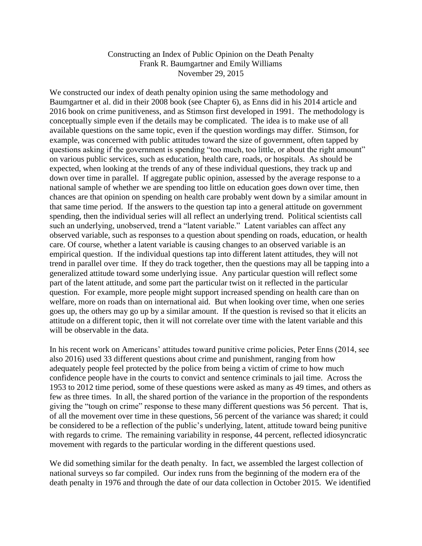## Constructing an Index of Public Opinion on the Death Penalty Frank R. Baumgartner and Emily Williams November 29, 2015

We constructed our index of death penalty opinion using the same methodology and Baumgartner et al. did in their 2008 book (see Chapter 6), as Enns did in his 2014 article and 2016 book on crime punitiveness, and as Stimson first developed in 1991. The methodology is conceptually simple even if the details may be complicated. The idea is to make use of all available questions on the same topic, even if the question wordings may differ. Stimson, for example, was concerned with public attitudes toward the size of government, often tapped by questions asking if the government is spending "too much, too little, or about the right amount" on various public services, such as education, health care, roads, or hospitals. As should be expected, when looking at the trends of any of these individual questions, they track up and down over time in parallel. If aggregate public opinion, assessed by the average response to a national sample of whether we are spending too little on education goes down over time, then chances are that opinion on spending on health care probably went down by a similar amount in that same time period. If the answers to the question tap into a general attitude on government spending, then the individual series will all reflect an underlying trend. Political scientists call such an underlying, unobserved, trend a "latent variable." Latent variables can affect any observed variable, such as responses to a question about spending on roads, education, or health care. Of course, whether a latent variable is causing changes to an observed variable is an empirical question. If the individual questions tap into different latent attitudes, they will not trend in parallel over time. If they do track together, then the questions may all be tapping into a generalized attitude toward some underlying issue. Any particular question will reflect some part of the latent attitude, and some part the particular twist on it reflected in the particular question. For example, more people might support increased spending on health care than on welfare, more on roads than on international aid. But when looking over time, when one series goes up, the others may go up by a similar amount. If the question is revised so that it elicits an attitude on a different topic, then it will not correlate over time with the latent variable and this will be observable in the data.

In his recent work on Americans' attitudes toward punitive crime policies, Peter Enns (2014, see also 2016) used 33 different questions about crime and punishment, ranging from how adequately people feel protected by the police from being a victim of crime to how much confidence people have in the courts to convict and sentence criminals to jail time. Across the 1953 to 2012 time period, some of these questions were asked as many as 49 times, and others as few as three times. In all, the shared portion of the variance in the proportion of the respondents giving the "tough on crime" response to these many different questions was 56 percent. That is, of all the movement over time in these questions, 56 percent of the variance was shared; it could be considered to be a reflection of the public's underlying, latent, attitude toward being punitive with regards to crime. The remaining variability in response, 44 percent, reflected idiosyncratic movement with regards to the particular wording in the different questions used.

We did something similar for the death penalty. In fact, we assembled the largest collection of national surveys so far compiled. Our index runs from the beginning of the modern era of the death penalty in 1976 and through the date of our data collection in October 2015. We identified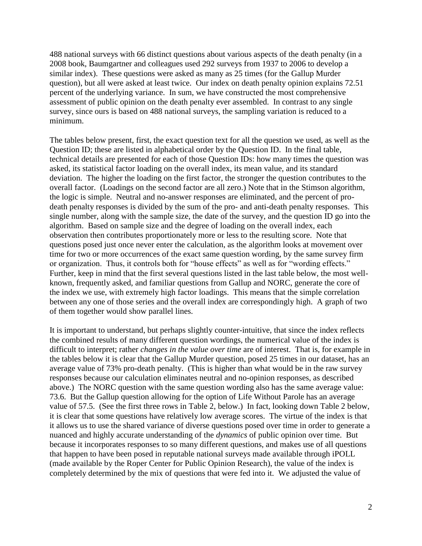488 national surveys with 66 distinct questions about various aspects of the death penalty (in a 2008 book, Baumgartner and colleagues used 292 surveys from 1937 to 2006 to develop a similar index). These questions were asked as many as 25 times (for the Gallup Murder question), but all were asked at least twice. Our index on death penalty opinion explains 72.51 percent of the underlying variance. In sum, we have constructed the most comprehensive assessment of public opinion on the death penalty ever assembled. In contrast to any single survey, since ours is based on 488 national surveys, the sampling variation is reduced to a minimum.

The tables below present, first, the exact question text for all the question we used, as well as the Question ID; these are listed in alphabetical order by the Question ID. In the final table, technical details are presented for each of those Question IDs: how many times the question was asked, its statistical factor loading on the overall index, its mean value, and its standard deviation. The higher the loading on the first factor, the stronger the question contributes to the overall factor. (Loadings on the second factor are all zero.) Note that in the Stimson algorithm, the logic is simple. Neutral and no-answer responses are eliminated, and the percent of prodeath penalty responses is divided by the sum of the pro- and anti-death penalty responses. This single number, along with the sample size, the date of the survey, and the question ID go into the algorithm. Based on sample size and the degree of loading on the overall index, each observation then contributes proportionately more or less to the resulting score. Note that questions posed just once never enter the calculation, as the algorithm looks at movement over time for two or more occurrences of the exact same question wording, by the same survey firm or organization. Thus, it controls both for "house effects" as well as for "wording effects." Further, keep in mind that the first several questions listed in the last table below, the most wellknown, frequently asked, and familiar questions from Gallup and NORC, generate the core of the index we use, with extremely high factor loadings. This means that the simple correlation between any one of those series and the overall index are correspondingly high. A graph of two of them together would show parallel lines.

It is important to understand, but perhaps slightly counter-intuitive, that since the index reflects the combined results of many different question wordings, the numerical value of the index is difficult to interpret; rather *changes in the value over time* are of interest. That is, for example in the tables below it is clear that the Gallup Murder question, posed 25 times in our dataset, has an average value of 73% pro-death penalty. (This is higher than what would be in the raw survey responses because our calculation eliminates neutral and no-opinion responses, as described above.) The NORC question with the same question wording also has the same average value: 73.6. But the Gallup question allowing for the option of Life Without Parole has an average value of 57.5. (See the first three rows in Table 2, below.) In fact, looking down Table 2 below, it is clear that some questions have relatively low average scores. The virtue of the index is that it allows us to use the shared variance of diverse questions posed over time in order to generate a nuanced and highly accurate understanding of the *dynamics* of public opinion over time. But because it incorporates responses to so many different questions, and makes use of all questions that happen to have been posed in reputable national surveys made available through iPOLL (made available by the Roper Center for Public Opinion Research), the value of the index is completely determined by the mix of questions that were fed into it. We adjusted the value of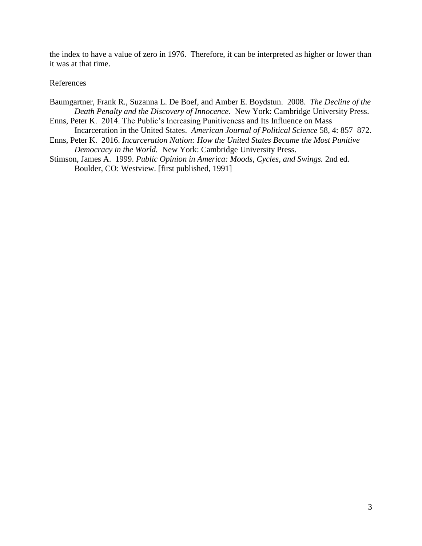the index to have a value of zero in 1976. Therefore, it can be interpreted as higher or lower than it was at that time.

## References

- Baumgartner, Frank R., Suzanna L. De Boef, and Amber E. Boydstun. 2008. *The Decline of the Death Penalty and the Discovery of Innocence.* New York: Cambridge University Press.
- Enns, Peter K. 2014. The Public's Increasing Punitiveness and Its Influence on Mass Incarceration in the United States. *American Journal of Political Science* 58, 4: 857–872.
- Enns, Peter K. 2016. *Incarceration Nation: How the United States Became the Most Punitive Democracy in the World.* New York: Cambridge University Press.
- Stimson, James A. 1999. *Public Opinion in America: Moods, Cycles, and Swings.* 2nd ed. Boulder, CO: Westview. [first published, 1991]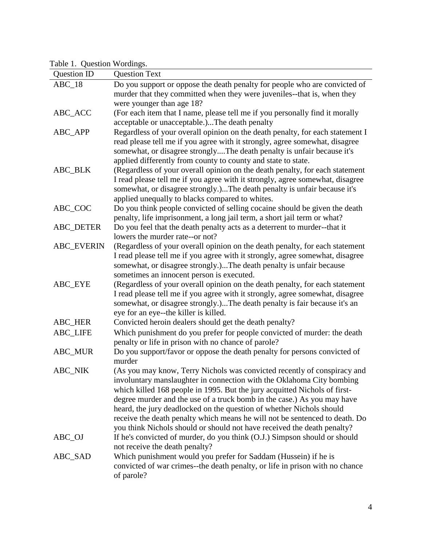Table 1. Question Wordings.

| raon I. Question wordings.<br>Question ID | <b>Question Text</b>                                                                                         |
|-------------------------------------------|--------------------------------------------------------------------------------------------------------------|
| $ABC_18$                                  | Do you support or oppose the death penalty for people who are convicted of                                   |
|                                           | murder that they committed when they were juveniles--that is, when they                                      |
|                                           | were younger than age 18?                                                                                    |
| ABC_ACC                                   | (For each item that I name, please tell me if you personally find it morally                                 |
|                                           | acceptable or unacceptable.)The death penalty                                                                |
| ABC_APP                                   | Regardless of your overall opinion on the death penalty, for each statement I                                |
|                                           | read please tell me if you agree with it strongly, agree somewhat, disagree                                  |
|                                           | somewhat, or disagree stronglyThe death penalty is unfair because it's                                       |
|                                           | applied differently from county to county and state to state.                                                |
| ABC_BLK                                   | (Regardless of your overall opinion on the death penalty, for each statement                                 |
|                                           | I read please tell me if you agree with it strongly, agree somewhat, disagree                                |
|                                           | somewhat, or disagree strongly.)The death penalty is unfair because it's                                     |
|                                           | applied unequally to blacks compared to whites.                                                              |
| ABC_COC                                   | Do you think people convicted of selling cocaine should be given the death                                   |
|                                           | penalty, life imprisonment, a long jail term, a short jail term or what?                                     |
| ABC_DETER                                 | Do you feel that the death penalty acts as a deterrent to murder--that it<br>lowers the murder rate--or not? |
| <b>ABC_EVERIN</b>                         | (Regardless of your overall opinion on the death penalty, for each statement                                 |
|                                           | I read please tell me if you agree with it strongly, agree somewhat, disagree                                |
|                                           | somewhat, or disagree strongly.)The death penalty is unfair because                                          |
|                                           | sometimes an innocent person is executed.                                                                    |
| ABC_EYE                                   | (Regardless of your overall opinion on the death penalty, for each statement                                 |
|                                           | I read please tell me if you agree with it strongly, agree somewhat, disagree                                |
|                                           | somewhat, or disagree strongly.)The death penalty is fair because it's an                                    |
|                                           | eye for an eye--the killer is killed.                                                                        |
| ABC_HER                                   | Convicted heroin dealers should get the death penalty?                                                       |
| <b>ABC_LIFE</b>                           | Which punishment do you prefer for people convicted of murder: the death                                     |
|                                           | penalty or life in prison with no chance of parole?                                                          |
| ABC_MUR                                   | Do you support/favor or oppose the death penalty for persons convicted of                                    |
|                                           | murder                                                                                                       |
| <b>ABC NIK</b>                            | (As you may know, Terry Nichols was convicted recently of conspiracy and                                     |
|                                           | involuntary manslaughter in connection with the Oklahoma City bombing                                        |
|                                           | which killed 168 people in 1995. But the jury acquitted Nichols of first-                                    |
|                                           | degree murder and the use of a truck bomb in the case.) As you may have                                      |
|                                           | heard, the jury deadlocked on the question of whether Nichols should                                         |
|                                           | receive the death penalty which means he will not be sentenced to death. Do                                  |
|                                           | you think Nichols should or should not have received the death penalty?                                      |
| ABC_OJ                                    | If he's convicted of murder, do you think (O.J.) Simpson should or should                                    |
| ABC_SAD                                   | not receive the death penalty?<br>Which punishment would you prefer for Saddam (Hussein) if he is            |
|                                           | convicted of war crimes--the death penalty, or life in prison with no chance                                 |
|                                           | of parole?                                                                                                   |
|                                           |                                                                                                              |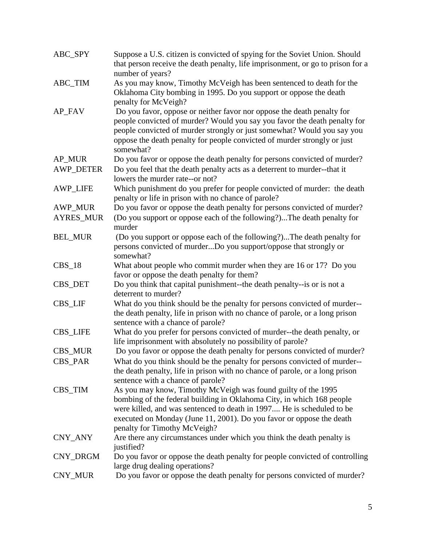| ABC_SPY          | Suppose a U.S. citizen is convicted of spying for the Soviet Union. Should<br>that person receive the death penalty, life imprisonment, or go to prison for a<br>number of years?                                                                                                                                       |
|------------------|-------------------------------------------------------------------------------------------------------------------------------------------------------------------------------------------------------------------------------------------------------------------------------------------------------------------------|
| ABC_TIM          | As you may know, Timothy McVeigh has been sentenced to death for the<br>Oklahoma City bombing in 1995. Do you support or oppose the death<br>penalty for McVeigh?                                                                                                                                                       |
| AP_FAV           | Do you favor, oppose or neither favor nor oppose the death penalty for<br>people convicted of murder? Would you say you favor the death penalty for<br>people convicted of murder strongly or just somewhat? Would you say you<br>oppose the death penalty for people convicted of murder strongly or just<br>somewhat? |
| AP_MUR           | Do you favor or oppose the death penalty for persons convicted of murder?                                                                                                                                                                                                                                               |
| <b>AWP_DETER</b> | Do you feel that the death penalty acts as a deterrent to murder--that it<br>lowers the murder rate--or not?                                                                                                                                                                                                            |
| <b>AWP LIFE</b>  | Which punishment do you prefer for people convicted of murder: the death<br>penalty or life in prison with no chance of parole?                                                                                                                                                                                         |
| <b>AWP_MUR</b>   | Do you favor or oppose the death penalty for persons convicted of murder?                                                                                                                                                                                                                                               |
| <b>AYRES_MUR</b> | (Do you support or oppose each of the following?)The death penalty for<br>murder                                                                                                                                                                                                                                        |
| <b>BEL_MUR</b>   | (Do you support or oppose each of the following?)The death penalty for<br>persons convicted of murderDo you support/oppose that strongly or<br>somewhat?                                                                                                                                                                |
| $CBS_18$         | What about people who commit murder when they are 16 or 17? Do you<br>favor or oppose the death penalty for them?                                                                                                                                                                                                       |
| CBS_DET          | Do you think that capital punishment--the death penalty--is or is not a<br>deterrent to murder?                                                                                                                                                                                                                         |
| CBS_LIF          | What do you think should be the penalty for persons convicted of murder--<br>the death penalty, life in prison with no chance of parole, or a long prison<br>sentence with a chance of parole?                                                                                                                          |
| <b>CBS_LIFE</b>  | What do you prefer for persons convicted of murder--the death penalty, or<br>life imprisonment with absolutely no possibility of parole?                                                                                                                                                                                |
| CBS_MUR          | Do you favor or oppose the death penalty for persons convicted of murder?                                                                                                                                                                                                                                               |
| <b>CBS_PAR</b>   | What do you think should be the penalty for persons convicted of murder--<br>the death penalty, life in prison with no chance of parole, or a long prison<br>sentence with a chance of parole?                                                                                                                          |
| CBS_TIM          | As you may know, Timothy McVeigh was found guilty of the 1995<br>bombing of the federal building in Oklahoma City, in which 168 people<br>were killed, and was sentenced to death in 1997 He is scheduled to be<br>executed on Monday (June 11, 2001). Do you favor or oppose the death<br>penalty for Timothy McVeigh? |
| CNY_ANY          | Are there any circumstances under which you think the death penalty is<br>justified?                                                                                                                                                                                                                                    |
| CNY_DRGM         | Do you favor or oppose the death penalty for people convicted of controlling<br>large drug dealing operations?                                                                                                                                                                                                          |
| CNY_MUR          | Do you favor or oppose the death penalty for persons convicted of murder?                                                                                                                                                                                                                                               |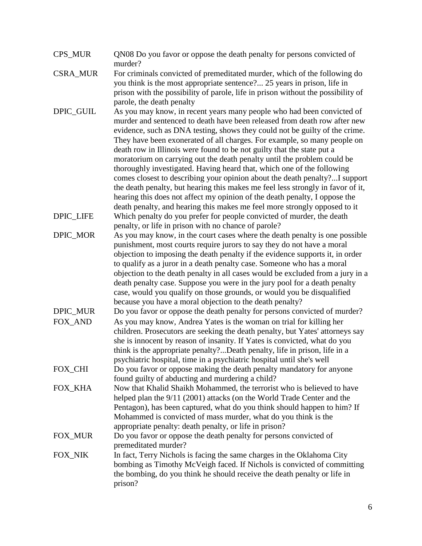| CPS MUR | QN08 Do you favor or oppose the death penalty for persons convicted of |
|---------|------------------------------------------------------------------------|
|         | murder?                                                                |

- CSRA\_MUR For criminals convicted of premeditated murder, which of the following do you think is the most appropriate sentence?... 25 years in prison, life in prison with the possibility of parole, life in prison without the possibility of parole, the death penalty
- DPIC GUIL As you may know, in recent years many people who had been convicted of murder and sentenced to death have been released from death row after new evidence, such as DNA testing, shows they could not be guilty of the crime. They have been exonerated of all charges. For example, so many people on death row in Illinois were found to be not guilty that the state put a moratorium on carrying out the death penalty until the problem could be thoroughly investigated. Having heard that, which one of the following comes closest to describing your opinion about the death penalty?...I support the death penalty, but hearing this makes me feel less strongly in favor of it, hearing this does not affect my opinion of the death penalty, I oppose the death penalty, and hearing this makes me feel more strongly opposed to it DPIC\_LIFE Which penalty do you prefer for people convicted of murder, the death
- penalty, or life in prison with no chance of parole? DPIC\_MOR As you may know, in the court cases where the death penalty is one possible punishment, most courts require jurors to say they do not have a moral objection to imposing the death penalty if the evidence supports it, in order to qualify as a juror in a death penalty case. Someone who has a moral objection to the death penalty in all cases would be excluded from a jury in a death penalty case. Suppose you were in the jury pool for a death penalty case, would you qualify on those grounds, or would you be disqualified because you have a moral objection to the death penalty?
- DPIC\_MUR Do you favor or oppose the death penalty for persons convicted of murder? FOX AND As you may know, Andrea Yates is the woman on trial for killing her children. Prosecutors are seeking the death penalty, but Yates' attorneys say she is innocent by reason of insanity. If Yates is convicted, what do you think is the appropriate penalty?...Death penalty, life in prison, life in a psychiatric hospital, time in a psychiatric hospital until she's well
- FOX CHI Do you favor or oppose making the death penalty mandatory for anyone found guilty of abducting and murdering a child?
- FOX KHA Now that Khalid Shaikh Mohammed, the terrorist who is believed to have helped plan the 9/11 (2001) attacks (on the World Trade Center and the Pentagon), has been captured, what do you think should happen to him? If Mohammed is convicted of mass murder, what do you think is the appropriate penalty: death penalty, or life in prison?
- FOX\_MUR Do you favor or oppose the death penalty for persons convicted of premeditated murder?
- FOX\_NIK In fact, Terry Nichols is facing the same charges in the Oklahoma City bombing as Timothy McVeigh faced. If Nichols is convicted of committing the bombing, do you think he should receive the death penalty or life in prison?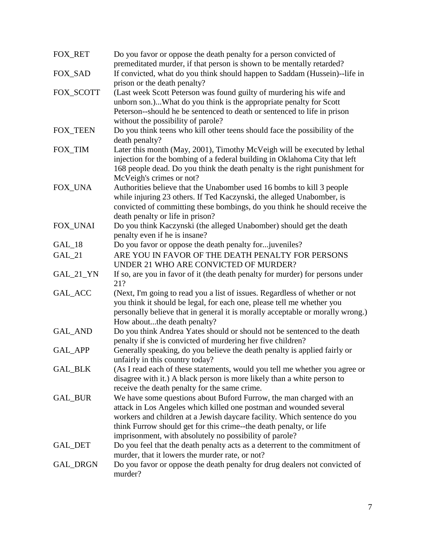| FOX_RET         | Do you favor or oppose the death penalty for a person convicted of<br>premeditated murder, if that person is shown to be mentally retarded? |
|-----------------|---------------------------------------------------------------------------------------------------------------------------------------------|
| FOX_SAD         | If convicted, what do you think should happen to Saddam (Hussein)--life in                                                                  |
| FOX_SCOTT       | prison or the death penalty?<br>(Last week Scott Peterson was found guilty of murdering his wife and                                        |
|                 | unborn son.)What do you think is the appropriate penalty for Scott                                                                          |
|                 | Peterson--should he be sentenced to death or sentenced to life in prison                                                                    |
|                 | without the possibility of parole?                                                                                                          |
| <b>FOX_TEEN</b> | Do you think teens who kill other teens should face the possibility of the                                                                  |
|                 | death penalty?                                                                                                                              |
| FOX_TIM         | Later this month (May, 2001), Timothy McVeigh will be executed by lethal                                                                    |
|                 | injection for the bombing of a federal building in Oklahoma City that left                                                                  |
|                 | 168 people dead. Do you think the death penalty is the right punishment for                                                                 |
|                 | McVeigh's crimes or not?                                                                                                                    |
| FOX_UNA         | Authorities believe that the Unabomber used 16 bombs to kill 3 people                                                                       |
|                 | while injuring 23 others. If Ted Kaczynski, the alleged Unabomber, is                                                                       |
|                 | convicted of committing these bombings, do you think he should receive the                                                                  |
|                 | death penalty or life in prison?                                                                                                            |
| FOX_UNAI        | Do you think Kaczynski (the alleged Unabomber) should get the death                                                                         |
|                 | penalty even if he is insane?                                                                                                               |
| $GAL_18$        | Do you favor or oppose the death penalty for juveniles?                                                                                     |
| GAL_21          | ARE YOU IN FAVOR OF THE DEATH PENALTY FOR PERSONS                                                                                           |
|                 | UNDER 21 WHO ARE CONVICTED OF MURDER?                                                                                                       |
| GAL_21_YN       | If so, are you in favor of it (the death penalty for murder) for persons under<br>21?                                                       |
| GAL_ACC         | (Next, I'm going to read you a list of issues. Regardless of whether or not                                                                 |
|                 | you think it should be legal, for each one, please tell me whether you                                                                      |
|                 | personally believe that in general it is morally acceptable or morally wrong.)                                                              |
|                 | How aboutthe death penalty?                                                                                                                 |
| GAL_AND         | Do you think Andrea Yates should or should not be sentenced to the death                                                                    |
|                 | penalty if she is convicted of murdering her five children?                                                                                 |
| GAL_APP         | Generally speaking, do you believe the death penalty is applied fairly or                                                                   |
|                 | unfairly in this country today?                                                                                                             |
| <b>GAL_BLK</b>  | (As I read each of these statements, would you tell me whether you agree or                                                                 |
|                 | disagree with it.) A black person is more likely than a white person to                                                                     |
|                 | receive the death penalty for the same crime.                                                                                               |
| GAL_BUR         | We have some questions about Buford Furrow, the man charged with an                                                                         |
|                 | attack in Los Angeles which killed one postman and wounded several                                                                          |
|                 | workers and children at a Jewish daycare facility. Which sentence do you                                                                    |
|                 | think Furrow should get for this crime--the death penalty, or life                                                                          |
|                 | imprisonment, with absolutely no possibility of parole?                                                                                     |
| <b>GAL_DET</b>  | Do you feel that the death penalty acts as a deterrent to the commitment of                                                                 |
|                 | murder, that it lowers the murder rate, or not?                                                                                             |
| GAL_DRGN        | Do you favor or oppose the death penalty for drug dealers not convicted of<br>murder?                                                       |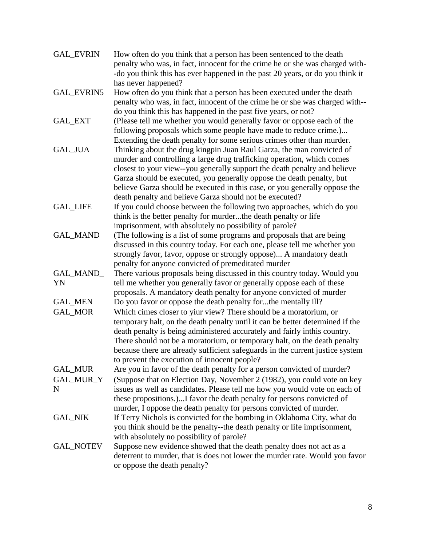| <b>GAL EVRIN</b> | How often do you think that a person has been sentenced to the death<br>penalty who was, in fact, innocent for the crime he or she was charged with- |
|------------------|------------------------------------------------------------------------------------------------------------------------------------------------------|
|                  | -do you think this has ever happened in the past 20 years, or do you think it<br>has never happened?                                                 |
| GAL_EVRIN5       | How often do you think that a person has been executed under the death                                                                               |
|                  | penalty who was, in fact, innocent of the crime he or she was charged with--<br>do you think this has happened in the past five years, or not?       |
| <b>GAL_EXT</b>   | (Please tell me whether you would generally favor or oppose each of the                                                                              |
|                  | following proposals which some people have made to reduce crime.)<br>Extending the death penalty for some serious crimes other than murder.          |
| GAL_JUA          | Thinking about the drug kingpin Juan Raul Garza, the man convicted of                                                                                |
|                  | murder and controlling a large drug trafficking operation, which comes                                                                               |
|                  | closest to your view--you generally support the death penalty and believe                                                                            |
|                  | Garza should be executed, you generally oppose the death penalty, but                                                                                |
|                  | believe Garza should be executed in this case, or you generally oppose the                                                                           |
|                  | death penalty and believe Garza should not be executed?                                                                                              |
| <b>GAL_LIFE</b>  | If you could choose between the following two approaches, which do you<br>think is the better penalty for murderthe death penalty or life            |
|                  | imprisonment, with absolutely no possibility of parole?                                                                                              |
| <b>GAL MAND</b>  | (The following is a list of some programs and proposals that are being                                                                               |
|                  | discussed in this country today. For each one, please tell me whether you                                                                            |
|                  | strongly favor, favor, oppose or strongly oppose) A mandatory death                                                                                  |
|                  | penalty for anyone convicted of premeditated murder                                                                                                  |
| GAL_MAND_<br>YN  | There various proposals being discussed in this country today. Would you                                                                             |
|                  | tell me whether you generally favor or generally oppose each of these<br>proposals. A mandatory death penalty for anyone convicted of murder         |
| <b>GAL_MEN</b>   | Do you favor or oppose the death penalty forthe mentally ill?                                                                                        |
| GAL_MOR          | Which cimes closer to yiur view? There should be a moratorium, or                                                                                    |
|                  | temporary halt, on the death penalty until it can be better determined if the                                                                        |
|                  | death penalty is being administered accurately and fairly inthis country.                                                                            |
|                  | There should not be a moratorium, or temporary halt, on the death penalty                                                                            |
|                  | because there are already sufficient safeguards in the current justice system                                                                        |
| GAL_MUR          | to prevent the execution of innocent people?<br>Are you in favor of the death penalty for a person convicted of murder?                              |
| GAL_MUR_Y        | (Suppose that on Election Day, November 2 (1982), you could vote on key                                                                              |
| N                | issues as well as candidates. Please tell me how you would vote on each of                                                                           |
|                  | these propositions.)I favor the death penalty for persons convicted of                                                                               |
|                  | murder, I oppose the death penalty for persons convicted of murder.                                                                                  |
| <b>GAL_NIK</b>   | If Terry Nichols is convicted for the bombing in Oklahoma City, what do                                                                              |
|                  | you think should be the penalty--the death penalty or life imprisonment,                                                                             |
| <b>GAL_NOTEV</b> | with absolutely no possibility of parole?<br>Suppose new evidence showed that the death penalty does not act as a                                    |
|                  | deterrent to murder, that is does not lower the murder rate. Would you favor                                                                         |
|                  | or oppose the death penalty?                                                                                                                         |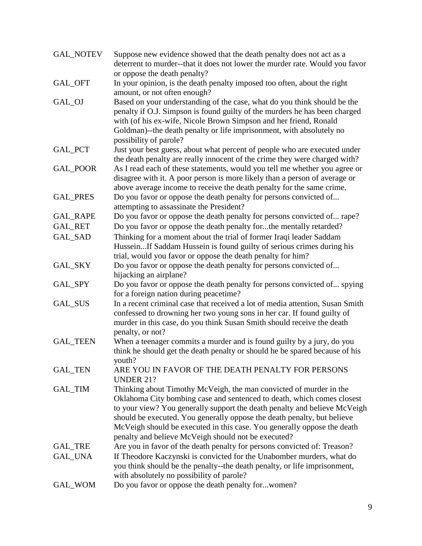| <b>GAL_NOTEV</b> | Suppose new evidence showed that the death penalty does not act as a<br>deterrent to murder--that it does not lower the murder rate. Would you favor                                                                                                                                                                                                                                                                                   |
|------------------|----------------------------------------------------------------------------------------------------------------------------------------------------------------------------------------------------------------------------------------------------------------------------------------------------------------------------------------------------------------------------------------------------------------------------------------|
| GAL_OFT          | or oppose the death penalty?<br>In your opinion, is the death penalty imposed too often, about the right                                                                                                                                                                                                                                                                                                                               |
|                  | amount, or not often enough?                                                                                                                                                                                                                                                                                                                                                                                                           |
| GAL_OJ           | Based on your understanding of the case, what do you think should be the<br>penalty if O.J. Simpson is found guilty of the murders he has been charged<br>with (of his ex-wife, Nicole Brown Simpson and her friend, Ronald<br>Goldman)--the death penalty or life imprisonment, with absolutely no<br>possibility of parole?                                                                                                          |
| GAL_PCT          | Just your best guess, about what percent of people who are executed under<br>the death penalty are really innocent of the crime they were charged with?                                                                                                                                                                                                                                                                                |
| GAL_POOR         | As I read each of these statements, would you tell me whether you agree or<br>disagree with it. A poor person is more likely than a person of average or<br>above average income to receive the death penalty for the same crime.                                                                                                                                                                                                      |
| <b>GAL_PRES</b>  | Do you favor or oppose the death penalty for persons convicted of<br>attempting to assassinate the President?                                                                                                                                                                                                                                                                                                                          |
| <b>GAL_RAPE</b>  | Do you favor or oppose the death penalty for persons convicted of rape?                                                                                                                                                                                                                                                                                                                                                                |
| <b>GAL_RET</b>   | Do you favor or oppose the death penalty forthe mentally retarded?                                                                                                                                                                                                                                                                                                                                                                     |
| GAL_SAD          | Thinking for a moment about the trial of former Iraqi leader Saddam                                                                                                                                                                                                                                                                                                                                                                    |
|                  | HusseinIf Saddam Hussein is found guilty of serious crimes during his<br>trial, would you favor or oppose the death penalty for him?                                                                                                                                                                                                                                                                                                   |
| GAL_SKY          | Do you favor or oppose the death penalty for persons convicted of<br>hijacking an airplane?                                                                                                                                                                                                                                                                                                                                            |
| GAL_SPY          | Do you favor or oppose the death penalty for persons convicted of spying<br>for a foreign nation during peacetime?                                                                                                                                                                                                                                                                                                                     |
| GAL_SUS          | In a recent criminal case that received a lot of media attention, Susan Smith<br>confessed to drowning her two young sons in her car. If found guilty of<br>murder in this case, do you think Susan Smith should receive the death<br>penalty, or not?                                                                                                                                                                                 |
| <b>GAL_TEEN</b>  | When a teenager commits a murder and is found guilty by a jury, do you<br>think he should get the death penalty or should he be spared because of his<br>youth?                                                                                                                                                                                                                                                                        |
| <b>GAL_TEN</b>   | ARE YOU IN FAVOR OF THE DEATH PENALTY FOR PERSONS<br><b>UNDER 21?</b>                                                                                                                                                                                                                                                                                                                                                                  |
| GAL_TIM          | Thinking about Timothy McVeigh, the man convicted of murder in the<br>Oklahoma City bombing case and sentenced to death, which comes closest<br>to your view? You generally support the death penalty and believe McVeigh<br>should be executed. You generally oppose the death penalty, but believe<br>McVeigh should be executed in this case. You generally oppose the death<br>penalty and believe McVeigh should not be executed? |
| GAL_TRE          | Are you in favor of the death penalty for persons convicted of: Treason?                                                                                                                                                                                                                                                                                                                                                               |
| <b>GAL_UNA</b>   | If Theodore Kaczynski is convicted for the Unabomber murders, what do<br>you think should be the penalty--the death penalty, or life imprisonment,<br>with absolutely no possibility of parole?                                                                                                                                                                                                                                        |
| GAL_WOM          | Do you favor or oppose the death penalty forwomen?                                                                                                                                                                                                                                                                                                                                                                                     |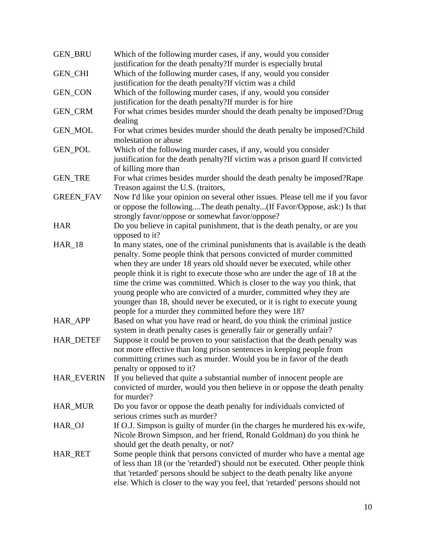| <b>GEN BRU</b>    | Which of the following murder cases, if any, would you consider<br>justification for the death penalty? If murder is especially brutal                     |
|-------------------|------------------------------------------------------------------------------------------------------------------------------------------------------------|
| <b>GEN_CHI</b>    | Which of the following murder cases, if any, would you consider                                                                                            |
|                   | justification for the death penalty?If victim was a child                                                                                                  |
|                   | Which of the following murder cases, if any, would you consider                                                                                            |
| <b>GEN_CON</b>    |                                                                                                                                                            |
|                   | justification for the death penalty?If murder is for hire                                                                                                  |
| <b>GEN_CRM</b>    | For what crimes besides murder should the death penalty be imposed?Drug<br>dealing                                                                         |
| <b>GEN_MOL</b>    | For what crimes besides murder should the death penalty be imposed?Child                                                                                   |
|                   | molestation or abuse                                                                                                                                       |
| <b>GEN_POL</b>    | Which of the following murder cases, if any, would you consider                                                                                            |
|                   | justification for the death penalty?If victim was a prison guard If convicted                                                                              |
|                   | of killing more than                                                                                                                                       |
| <b>GEN_TRE</b>    | For what crimes besides murder should the death penalty be imposed? Rape                                                                                   |
|                   | Treason against the U.S. (traitors,                                                                                                                        |
| <b>GREEN_FAV</b>  | Now I'd like your opinion on several other issues. Please tell me if you favor                                                                             |
|                   | or oppose the followingThe death penalty(If Favor/Oppose, ask:) Is that                                                                                    |
|                   | strongly favor/oppose or somewhat favor/oppose?                                                                                                            |
| <b>HAR</b>        | Do you believe in capital punishment, that is the death penalty, or are you                                                                                |
|                   | opposed to it?                                                                                                                                             |
| $HAR_18$          | In many states, one of the criminal punishments that is available is the death                                                                             |
|                   | penalty. Some people think that persons convicted of murder committed                                                                                      |
|                   | when they are under 18 years old should never be executed, while other                                                                                     |
|                   | people think it is right to execute those who are under the age of 18 at the                                                                               |
|                   | time the crime was committed. Which is closer to the way you think, that                                                                                   |
|                   | young people who are convicted of a murder, committed whey they are                                                                                        |
|                   | younger than 18, should never be executed, or it is right to execute young                                                                                 |
|                   | people for a murder they committed before they were 18?                                                                                                    |
| HAR_APP           | Based on what you have read or heard, do you think the criminal justice                                                                                    |
|                   | system in death penalty cases is generally fair or generally unfair?                                                                                       |
| <b>HAR_DETEF</b>  |                                                                                                                                                            |
|                   | Suppose it could be proven to your satisfaction that the death penalty was                                                                                 |
|                   | not more effective than long prison sentences in keeping people from                                                                                       |
|                   | committing crimes such as murder. Would you be in favor of the death                                                                                       |
|                   | penalty or opposed to it?                                                                                                                                  |
| <b>HAR_EVERIN</b> | If you believed that quite a substantial number of innocent people are                                                                                     |
|                   | convicted of murder, would you then believe in or oppose the death penalty<br>for murder?                                                                  |
| <b>HAR_MUR</b>    |                                                                                                                                                            |
|                   | Do you favor or oppose the death penalty for individuals convicted of<br>serious crimes such as murder?                                                    |
| HAR_OJ            | If O.J. Simpson is guilty of murder (in the charges he murdered his ex-wife,                                                                               |
|                   | Nicole Brown Simpson, and her friend, Ronald Goldman) do you think he                                                                                      |
|                   | should get the death penalty, or not?                                                                                                                      |
|                   |                                                                                                                                                            |
| HAR_RET           | Some people think that persons convicted of murder who have a mental age<br>of less than 18 (or the 'retarded') should not be executed. Other people think |
|                   | that 'retarded' persons should be subject to the death penalty like anyone                                                                                 |
|                   |                                                                                                                                                            |
|                   | else. Which is closer to the way you feel, that 'retarded' persons should not                                                                              |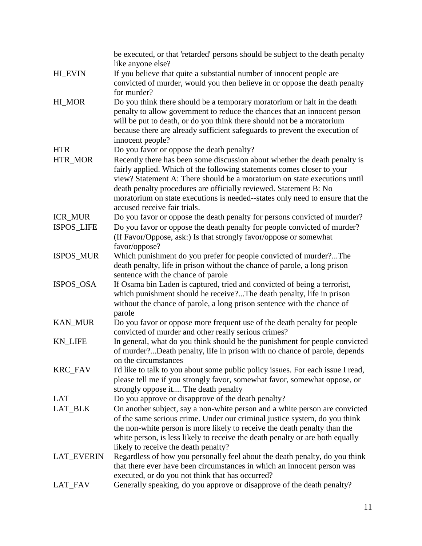|                   | be executed, or that 'retarded' persons should be subject to the death penalty<br>like anyone else?                                                       |
|-------------------|-----------------------------------------------------------------------------------------------------------------------------------------------------------|
| <b>HI_EVIN</b>    | If you believe that quite a substantial number of innocent people are                                                                                     |
|                   | convicted of murder, would you then believe in or oppose the death penalty                                                                                |
|                   | for murder?                                                                                                                                               |
| HI_MOR            | Do you think there should be a temporary moratorium or halt in the death                                                                                  |
|                   | penalty to allow government to reduce the chances that an innocent person                                                                                 |
|                   | will be put to death, or do you think there should not be a moratorium                                                                                    |
|                   | because there are already sufficient safeguards to prevent the execution of                                                                               |
|                   | innocent people?                                                                                                                                          |
| <b>HTR</b>        | Do you favor or oppose the death penalty?                                                                                                                 |
| HTR_MOR           | Recently there has been some discussion about whether the death penalty is                                                                                |
|                   | fairly applied. Which of the following statements comes closer to your                                                                                    |
|                   | view? Statement A: There should be a moratorium on state executions until                                                                                 |
|                   | death penalty procedures are officially reviewed. Statement B: No                                                                                         |
|                   | moratorium on state executions is needed--states only need to ensure that the                                                                             |
|                   | accused receive fair trials.                                                                                                                              |
| ICR_MUR           | Do you favor or oppose the death penalty for persons convicted of murder?                                                                                 |
| ISPOS_LIFE        | Do you favor or oppose the death penalty for people convicted of murder?                                                                                  |
|                   | (If Favor/Oppose, ask:) Is that strongly favor/oppose or somewhat<br>favor/oppose?                                                                        |
| ISPOS_MUR         | Which punishment do you prefer for people convicted of murder?The                                                                                         |
|                   | death penalty, life in prison without the chance of parole, a long prison                                                                                 |
|                   | sentence with the chance of parole                                                                                                                        |
| ISPOS_OSA         | If Osama bin Laden is captured, tried and convicted of being a terrorist,                                                                                 |
|                   | which punishment should he receive?The death penalty, life in prison                                                                                      |
|                   | without the chance of parole, a long prison sentence with the chance of                                                                                   |
|                   | parole                                                                                                                                                    |
| <b>KAN_MUR</b>    | Do you favor or oppose more frequent use of the death penalty for people                                                                                  |
|                   | convicted of murder and other really serious crimes?                                                                                                      |
| <b>KN_LIFE</b>    | In general, what do you think should be the punishment for people convicted                                                                               |
|                   | of murder?Death penalty, life in prison with no chance of parole, depends                                                                                 |
|                   | on the circumstances                                                                                                                                      |
| <b>KRC_FAV</b>    | I'd like to talk to you about some public policy issues. For each issue I read,                                                                           |
|                   | please tell me if you strongly favor, somewhat favor, somewhat oppose, or                                                                                 |
| <b>LAT</b>        | strongly oppose it The death penalty                                                                                                                      |
|                   | Do you approve or disapprove of the death penalty?                                                                                                        |
| LAT_BLK           | On another subject, say a non-white person and a white person are convicted<br>of the same serious crime. Under our criminal justice system, do you think |
|                   | the non-white person is more likely to receive the death penalty than the                                                                                 |
|                   | white person, is less likely to receive the death penalty or are both equally                                                                             |
|                   | likely to receive the death penalty?                                                                                                                      |
| <b>LAT_EVERIN</b> | Regardless of how you personally feel about the death penalty, do you think                                                                               |
|                   | that there ever have been circumstances in which an innocent person was                                                                                   |
|                   | executed, or do you not think that has occurred?                                                                                                          |
| LAT_FAV           | Generally speaking, do you approve or disapprove of the death penalty?                                                                                    |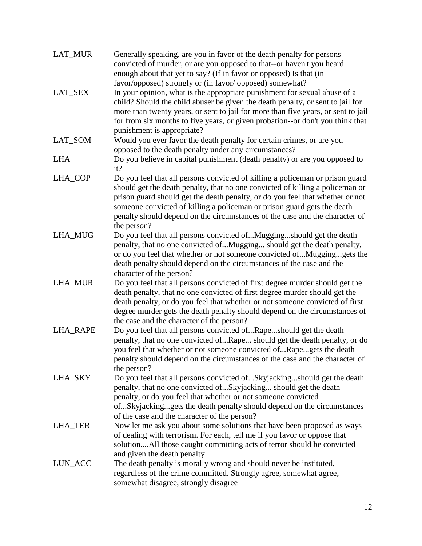| <b>LAT MUR</b>  | Generally speaking, are you in favor of the death penalty for persons<br>convicted of murder, or are you opposed to that--or haven't you heard<br>enough about that yet to say? (If in favor or opposed) Is that (in                                                                                                                                                                                                        |
|-----------------|-----------------------------------------------------------------------------------------------------------------------------------------------------------------------------------------------------------------------------------------------------------------------------------------------------------------------------------------------------------------------------------------------------------------------------|
| LAT_SEX         | favor/opposed) strongly or (in favor/opposed) somewhat?<br>In your opinion, what is the appropriate punishment for sexual abuse of a<br>child? Should the child abuser be given the death penalty, or sent to jail for<br>more than twenty years, or sent to jail for more than five years, or sent to jail<br>for from six months to five years, or given probation--or don't you think that<br>punishment is appropriate? |
| LAT_SOM         | Would you ever favor the death penalty for certain crimes, or are you<br>opposed to the death penalty under any circumstances?                                                                                                                                                                                                                                                                                              |
| <b>LHA</b>      | Do you believe in capital punishment (death penalty) or are you opposed to<br>it?                                                                                                                                                                                                                                                                                                                                           |
| LHA_COP         | Do you feel that all persons convicted of killing a policeman or prison guard<br>should get the death penalty, that no one convicted of killing a policeman or<br>prison guard should get the death penalty, or do you feel that whether or not<br>someone convicted of killing a policeman or prison guard gets the death<br>penalty should depend on the circumstances of the case and the character of<br>the person?    |
| LHA_MUG         | Do you feel that all persons convicted ofMuggingshould get the death<br>penalty, that no one convicted ofMugging should get the death penalty,<br>or do you feel that whether or not someone convicted ofMugginggets the<br>death penalty should depend on the circumstances of the case and the<br>character of the person?                                                                                                |
| <b>LHA_MUR</b>  | Do you feel that all persons convicted of first degree murder should get the<br>death penalty, that no one convicted of first degree murder should get the<br>death penalty, or do you feel that whether or not someone convicted of first<br>degree murder gets the death penalty should depend on the circumstances of<br>the case and the character of the person?                                                       |
| <b>LHA_RAPE</b> | Do you feel that all persons convicted ofRapeshould get the death<br>penalty, that no one convicted ofRape should get the death penalty, or do<br>you feel that whether or not someone convicted ofRapegets the death<br>penalty should depend on the circumstances of the case and the character of<br>the person?                                                                                                         |
| LHA_SKY         | Do you feel that all persons convicted ofSkyjackingshould get the death<br>penalty, that no one convicted ofSkyjacking should get the death<br>penalty, or do you feel that whether or not someone convicted<br>ofSkyjackinggets the death penalty should depend on the circumstances<br>of the case and the character of the person?                                                                                       |
| LHA_TER         | Now let me ask you about some solutions that have been proposed as ways<br>of dealing with terrorism. For each, tell me if you favor or oppose that<br>solutionAll those caught committing acts of terror should be convicted<br>and given the death penalty                                                                                                                                                                |
| LUN_ACC         | The death penalty is morally wrong and should never be instituted,<br>regardless of the crime committed. Strongly agree, somewhat agree,<br>somewhat disagree, strongly disagree                                                                                                                                                                                                                                            |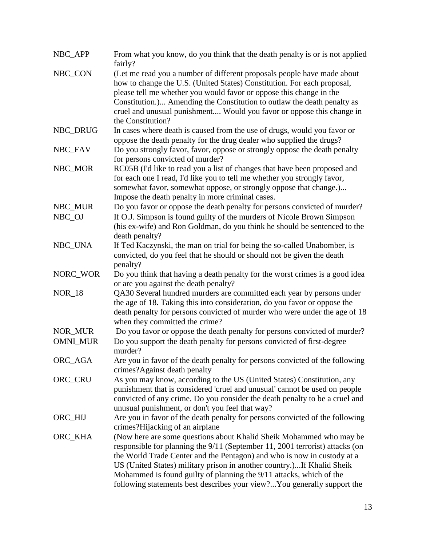| NBC_APP         | From what you know, do you think that the death penalty is or is not applied<br>fairly?                                                                                                                                                                                                                                                                                                                                                                    |
|-----------------|------------------------------------------------------------------------------------------------------------------------------------------------------------------------------------------------------------------------------------------------------------------------------------------------------------------------------------------------------------------------------------------------------------------------------------------------------------|
| NBC_CON         | (Let me read you a number of different proposals people have made about<br>how to change the U.S. (United States) Constitution. For each proposal,<br>please tell me whether you would favor or oppose this change in the<br>Constitution.) Amending the Constitution to outlaw the death penalty as<br>cruel and unusual punishment Would you favor or oppose this change in<br>the Constitution?                                                         |
| NBC_DRUG        | In cases where death is caused from the use of drugs, would you favor or<br>oppose the death penalty for the drug dealer who supplied the drugs?                                                                                                                                                                                                                                                                                                           |
| NBC_FAV         | Do you strongly favor, favor, oppose or strongly oppose the death penalty<br>for persons convicted of murder?                                                                                                                                                                                                                                                                                                                                              |
| NBC_MOR         | RC05B (I'd like to read you a list of changes that have been proposed and<br>for each one I read, I'd like you to tell me whether you strongly favor,<br>somewhat favor, somewhat oppose, or strongly oppose that change.)<br>Impose the death penalty in more criminal cases.                                                                                                                                                                             |
| NBC_MUR         | Do you favor or oppose the death penalty for persons convicted of murder?                                                                                                                                                                                                                                                                                                                                                                                  |
| NBC_OJ          | If O.J. Simpson is found guilty of the murders of Nicole Brown Simpson<br>(his ex-wife) and Ron Goldman, do you think he should be sentenced to the<br>death penalty?                                                                                                                                                                                                                                                                                      |
| NBC_UNA         | If Ted Kaczynski, the man on trial for being the so-called Unabomber, is<br>convicted, do you feel that he should or should not be given the death<br>penalty?                                                                                                                                                                                                                                                                                             |
| NORC_WOR        | Do you think that having a death penalty for the worst crimes is a good idea<br>or are you against the death penalty?                                                                                                                                                                                                                                                                                                                                      |
| <b>NOR_18</b>   | QA30 Several hundred murders are committed each year by persons under<br>the age of 18. Taking this into consideration, do you favor or oppose the<br>death penalty for persons convicted of murder who were under the age of 18<br>when they committed the crime?                                                                                                                                                                                         |
| NOR_MUR         | Do you favor or oppose the death penalty for persons convicted of murder?                                                                                                                                                                                                                                                                                                                                                                                  |
| <b>OMNI_MUR</b> | Do you support the death penalty for persons convicted of first-degree<br>murder?                                                                                                                                                                                                                                                                                                                                                                          |
| ORC_AGA         | Are you in favor of the death penalty for persons convicted of the following<br>crimes?Against death penalty                                                                                                                                                                                                                                                                                                                                               |
| ORC_CRU         | As you may know, according to the US (United States) Constitution, any<br>punishment that is considered 'cruel and unusual' cannot be used on people<br>convicted of any crime. Do you consider the death penalty to be a cruel and<br>unusual punishment, or don't you feel that way?                                                                                                                                                                     |
| ORC_HIJ         | Are you in favor of the death penalty for persons convicted of the following<br>crimes?Hijacking of an airplane                                                                                                                                                                                                                                                                                                                                            |
| ORC_KHA         | (Now here are some questions about Khalid Sheik Mohammed who may be<br>responsible for planning the 9/11 (September 11, 2001 terrorist) attacks (on<br>the World Trade Center and the Pentagon) and who is now in custody at a<br>US (United States) military prison in another country.)If Khalid Sheik<br>Mohammed is found guilty of planning the 9/11 attacks, which of the<br>following statements best describes your view?You generally support the |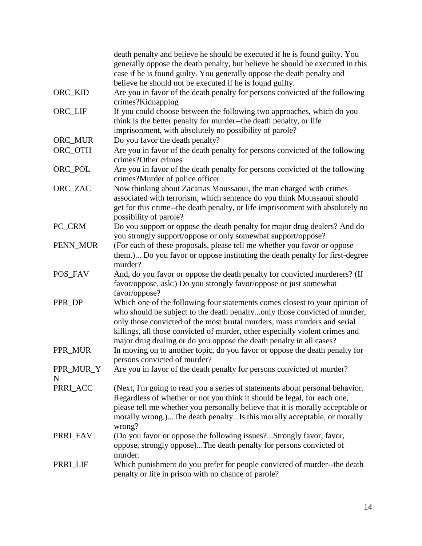|                | death penalty and believe he should be executed if he is found guilty. You<br>generally oppose the death penalty, but believe he should be executed in this<br>case if he is found guilty. You generally oppose the death penalty and                                                                                                                                                       |
|----------------|---------------------------------------------------------------------------------------------------------------------------------------------------------------------------------------------------------------------------------------------------------------------------------------------------------------------------------------------------------------------------------------------|
|                | believe he should not be executed if he is found guilty.                                                                                                                                                                                                                                                                                                                                    |
| ORC_KID        | Are you in favor of the death penalty for persons convicted of the following<br>crimes?Kidnapping                                                                                                                                                                                                                                                                                           |
| ORC_LIF        | If you could choose between the following two approaches, which do you<br>think is the better penalty for murder--the death penalty, or life<br>imprisonment, with absolutely no possibility of parole?                                                                                                                                                                                     |
| ORC_MUR        | Do you favor the death penalty?                                                                                                                                                                                                                                                                                                                                                             |
| ORC_OTH        | Are you in favor of the death penalty for persons convicted of the following<br>crimes?Other crimes                                                                                                                                                                                                                                                                                         |
| ORC_POL        | Are you in favor of the death penalty for persons convicted of the following<br>crimes?Murder of police officer                                                                                                                                                                                                                                                                             |
| ORC_ZAC        | Now thinking about Zacarias Moussaoui, the man charged with crimes<br>associated with terrorism, which sentence do you think Moussaoui should<br>get for this crime--the death penalty, or life imprisonment with absolutely no<br>possibility of parole?                                                                                                                                   |
| PC_CRM         | Do you support or oppose the death penalty for major drug dealers? And do<br>you strongly support/oppose or only somewhat support/oppose?                                                                                                                                                                                                                                                   |
| PENN_MUR       | (For each of these proposals, please tell me whether you favor or oppose<br>them.) Do you favor or oppose instituting the death penalty for first-degree<br>murder?                                                                                                                                                                                                                         |
| POS_FAV        | And, do you favor or oppose the death penalty for convicted murderers? (If<br>favor/oppose, ask:) Do you strongly favor/oppose or just somewhat<br>favor/oppose?                                                                                                                                                                                                                            |
| PPR_DP         | Which one of the following four statements comes closest to your opinion of<br>who should be subject to the death penaltyonly those convicted of murder,<br>only those convicted of the most brutal murders, mass murders and serial<br>killings, all those convicted of murder, other especially violent crimes and<br>major drug dealing or do you oppose the death penalty in all cases? |
| PPR_MUR        | In moving on to another topic, do you favor or oppose the death penalty for<br>persons convicted of murder?                                                                                                                                                                                                                                                                                 |
| PPR_MUR_Y<br>N | Are you in favor of the death penalty for persons convicted of murder?                                                                                                                                                                                                                                                                                                                      |
| PRRI_ACC       | (Next, I'm going to read you a series of statements about personal behavior.<br>Regardless of whether or not you think it should be legal, for each one,<br>please tell me whether you personally believe that it is morally acceptable or<br>morally wrong.)The death penaltyIs this morally acceptable, or morally<br>wrong?                                                              |
| PRRI FAV       | (Do you favor or oppose the following issues?Strongly favor, favor,<br>oppose, strongly oppose)The death penalty for persons convicted of<br>murder.                                                                                                                                                                                                                                        |
| PRRI_LIF       | Which punishment do you prefer for people convicted of murder--the death<br>penalty or life in prison with no chance of parole?                                                                                                                                                                                                                                                             |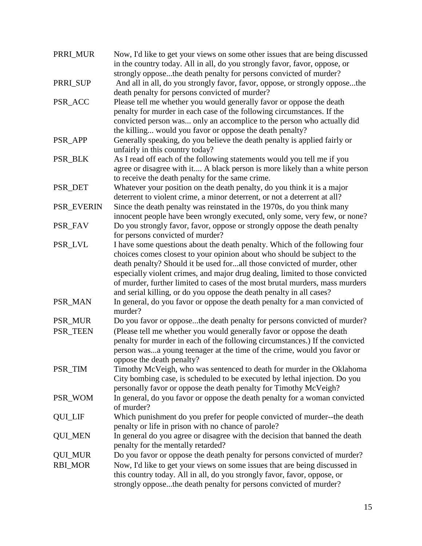| PRRI_MUR       | Now, I'd like to get your views on some other issues that are being discussed<br>in the country today. All in all, do you strongly favor, favor, oppose, or                                                                                                                                                                                                                                                                                                                 |
|----------------|-----------------------------------------------------------------------------------------------------------------------------------------------------------------------------------------------------------------------------------------------------------------------------------------------------------------------------------------------------------------------------------------------------------------------------------------------------------------------------|
|                | strongly opposethe death penalty for persons convicted of murder?                                                                                                                                                                                                                                                                                                                                                                                                           |
| PRRI_SUP       | And all in all, do you strongly favor, favor, oppose, or strongly opposethe<br>death penalty for persons convicted of murder?                                                                                                                                                                                                                                                                                                                                               |
| PSR_ACC        | Please tell me whether you would generally favor or oppose the death<br>penalty for murder in each case of the following circumstances. If the<br>convicted person was only an accomplice to the person who actually did<br>the killing would you favor or oppose the death penalty?                                                                                                                                                                                        |
| PSR_APP        | Generally speaking, do you believe the death penalty is applied fairly or<br>unfairly in this country today?                                                                                                                                                                                                                                                                                                                                                                |
| PSR_BLK        | As I read off each of the following statements would you tell me if you<br>agree or disagree with it A black person is more likely than a white person<br>to receive the death penalty for the same crime.                                                                                                                                                                                                                                                                  |
| PSR_DET        | Whatever your position on the death penalty, do you think it is a major<br>deterrent to violent crime, a minor deterrent, or not a deterrent at all?                                                                                                                                                                                                                                                                                                                        |
| PSR_EVERIN     | Since the death penalty was reinstated in the 1970s, do you think many<br>innocent people have been wrongly executed, only some, very few, or none?                                                                                                                                                                                                                                                                                                                         |
| PSR_FAV        | Do you strongly favor, favor, oppose or strongly oppose the death penalty<br>for persons convicted of murder?                                                                                                                                                                                                                                                                                                                                                               |
| PSR_LVL        | I have some questions about the death penalty. Which of the following four<br>choices comes closest to your opinion about who should be subject to the<br>death penalty? Should it be used forall those convicted of murder, other<br>especially violent crimes, and major drug dealing, limited to those convicted<br>of murder, further limited to cases of the most brutal murders, mass murders<br>and serial killing, or do you oppose the death penalty in all cases? |
| PSR_MAN        | In general, do you favor or oppose the death penalty for a man convicted of<br>murder?                                                                                                                                                                                                                                                                                                                                                                                      |
| PSR_MUR        | Do you favor or opposethe death penalty for persons convicted of murder?                                                                                                                                                                                                                                                                                                                                                                                                    |
| PSR_TEEN       | (Please tell me whether you would generally favor or oppose the death<br>penalty for murder in each of the following circumstances.) If the convicted<br>person wasa young teenager at the time of the crime, would you favor or<br>oppose the death penalty?                                                                                                                                                                                                               |
| PSR_TIM        | Timothy McVeigh, who was sentenced to death for murder in the Oklahoma<br>City bombing case, is scheduled to be executed by lethal injection. Do you<br>personally favor or oppose the death penalty for Timothy McVeigh?                                                                                                                                                                                                                                                   |
| PSR_WOM        | In general, do you favor or oppose the death penalty for a woman convicted<br>of murder?                                                                                                                                                                                                                                                                                                                                                                                    |
| <b>QUI_LIF</b> | Which punishment do you prefer for people convicted of murder--the death<br>penalty or life in prison with no chance of parole?                                                                                                                                                                                                                                                                                                                                             |
| <b>QUI_MEN</b> | In general do you agree or disagree with the decision that banned the death<br>penalty for the mentally retarded?                                                                                                                                                                                                                                                                                                                                                           |
| <b>QUI_MUR</b> | Do you favor or oppose the death penalty for persons convicted of murder?                                                                                                                                                                                                                                                                                                                                                                                                   |
| <b>RBI_MOR</b> | Now, I'd like to get your views on some issues that are being discussed in<br>this country today. All in all, do you strongly favor, favor, oppose, or<br>strongly opposethe death penalty for persons convicted of murder?                                                                                                                                                                                                                                                 |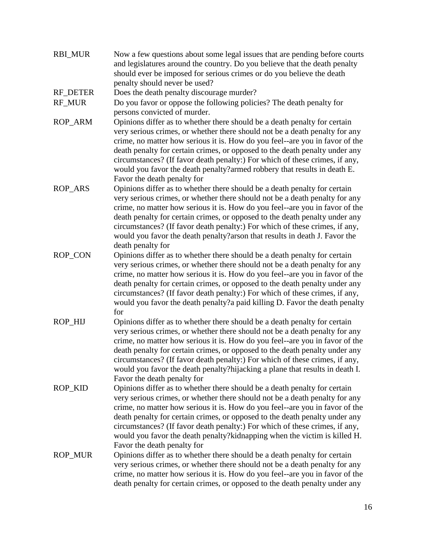| <b>RBI_MUR</b> | Now a few questions about some legal issues that are pending before courts<br>and legislatures around the country. Do you believe that the death penalty<br>should ever be imposed for serious crimes or do you believe the death                                                                                                                                                                                                                                                                                                                 |
|----------------|---------------------------------------------------------------------------------------------------------------------------------------------------------------------------------------------------------------------------------------------------------------------------------------------------------------------------------------------------------------------------------------------------------------------------------------------------------------------------------------------------------------------------------------------------|
| RF_DETER       | penalty should never be used?<br>Does the death penalty discourage murder?                                                                                                                                                                                                                                                                                                                                                                                                                                                                        |
|                |                                                                                                                                                                                                                                                                                                                                                                                                                                                                                                                                                   |
| RF_MUR         | Do you favor or oppose the following policies? The death penalty for                                                                                                                                                                                                                                                                                                                                                                                                                                                                              |
| ROP_ARM        | persons convicted of murder.<br>Opinions differ as to whether there should be a death penalty for certain<br>very serious crimes, or whether there should not be a death penalty for any<br>crime, no matter how serious it is. How do you feel--are you in favor of the<br>death penalty for certain crimes, or opposed to the death penalty under any<br>circumstances? (If favor death penalty:) For which of these crimes, if any,<br>would you favor the death penalty?armed robbery that results in death E.<br>Favor the death penalty for |
| ROP_ARS        | Opinions differ as to whether there should be a death penalty for certain<br>very serious crimes, or whether there should not be a death penalty for any<br>crime, no matter how serious it is. How do you feel--are you in favor of the<br>death penalty for certain crimes, or opposed to the death penalty under any<br>circumstances? (If favor death penalty:) For which of these crimes, if any,<br>would you favor the death penalty? arson that results in death J. Favor the<br>death penalty for                                        |
| ROP_CON        | Opinions differ as to whether there should be a death penalty for certain<br>very serious crimes, or whether there should not be a death penalty for any<br>crime, no matter how serious it is. How do you feel--are you in favor of the<br>death penalty for certain crimes, or opposed to the death penalty under any<br>circumstances? (If favor death penalty:) For which of these crimes, if any,<br>would you favor the death penalty?a paid killing D. Favor the death penalty<br>for                                                      |
| ROP_HIJ        | Opinions differ as to whether there should be a death penalty for certain<br>very serious crimes, or whether there should not be a death penalty for any<br>crime, no matter how serious it is. How do you feel--are you in favor of the<br>death penalty for certain crimes, or opposed to the death penalty under any<br>circumstances? (If favor death penalty:) For which of these crimes, if any,<br>would you favor the death penalty?hijacking a plane that results in death I.<br>Favor the death penalty for                             |
| <b>ROP KID</b> | Opinions differ as to whether there should be a death penalty for certain<br>very serious crimes, or whether there should not be a death penalty for any<br>crime, no matter how serious it is. How do you feel--are you in favor of the<br>death penalty for certain crimes, or opposed to the death penalty under any<br>circumstances? (If favor death penalty:) For which of these crimes, if any,<br>would you favor the death penalty?kidnapping when the victim is killed H.<br>Favor the death penalty for                                |
| ROP_MUR        | Opinions differ as to whether there should be a death penalty for certain<br>very serious crimes, or whether there should not be a death penalty for any<br>crime, no matter how serious it is. How do you feel--are you in favor of the<br>death penalty for certain crimes, or opposed to the death penalty under any                                                                                                                                                                                                                           |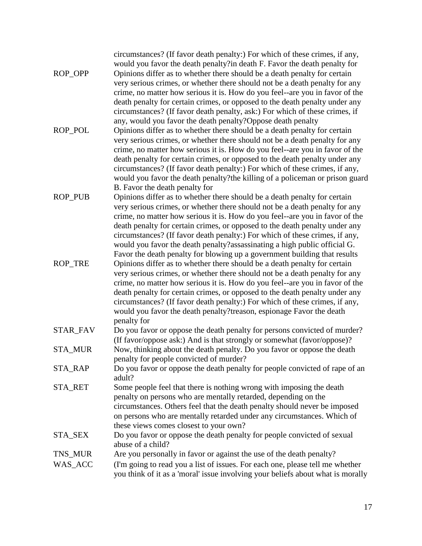| <b>ROP OPP</b>     | circumstances? (If favor death penalty:) For which of these crimes, if any,<br>would you favor the death penalty?in death F. Favor the death penalty for<br>Opinions differ as to whether there should be a death penalty for certain<br>very serious crimes, or whether there should not be a death penalty for any<br>crime, no matter how serious it is. How do you feel--are you in favor of the                                                                                                                                                                                                                                 |
|--------------------|--------------------------------------------------------------------------------------------------------------------------------------------------------------------------------------------------------------------------------------------------------------------------------------------------------------------------------------------------------------------------------------------------------------------------------------------------------------------------------------------------------------------------------------------------------------------------------------------------------------------------------------|
| <b>ROP POL</b>     | death penalty for certain crimes, or opposed to the death penalty under any<br>circumstances? (If favor death penalty, ask:) For which of these crimes, if<br>any, would you favor the death penalty? Oppose death penalty<br>Opinions differ as to whether there should be a death penalty for certain<br>very serious crimes, or whether there should not be a death penalty for any<br>crime, no matter how serious it is. How do you feel--are you in favor of the<br>death penalty for certain crimes, or opposed to the death penalty under any<br>circumstances? (If favor death penalty:) For which of these crimes, if any, |
| ROP_PUB            | would you favor the death penalty?the killing of a policeman or prison guard<br>B. Favor the death penalty for<br>Opinions differ as to whether there should be a death penalty for certain<br>very serious crimes, or whether there should not be a death penalty for any<br>crime, no matter how serious it is. How do you feel--are you in favor of the                                                                                                                                                                                                                                                                           |
| <b>ROP_TRE</b>     | death penalty for certain crimes, or opposed to the death penalty under any<br>circumstances? (If favor death penalty:) For which of these crimes, if any,<br>would you favor the death penalty?assassinating a high public official G.<br>Favor the death penalty for blowing up a government building that results<br>Opinions differ as to whether there should be a death penalty for certain                                                                                                                                                                                                                                    |
|                    | very serious crimes, or whether there should not be a death penalty for any<br>crime, no matter how serious it is. How do you feel--are you in favor of the<br>death penalty for certain crimes, or opposed to the death penalty under any<br>circumstances? (If favor death penalty:) For which of these crimes, if any,<br>would you favor the death penalty?treason, espionage Favor the death<br>penalty for                                                                                                                                                                                                                     |
| <b>STAR_FAV</b>    | Do you favor or oppose the death penalty for persons convicted of murder?<br>(If favor/oppose ask:) And is that strongly or somewhat (favor/oppose)?                                                                                                                                                                                                                                                                                                                                                                                                                                                                                 |
| <b>STA_MUR</b>     | Now, thinking about the death penalty. Do you favor or oppose the death<br>penalty for people convicted of murder?                                                                                                                                                                                                                                                                                                                                                                                                                                                                                                                   |
| STA_RAP            | Do you favor or oppose the death penalty for people convicted of rape of an<br>adult?                                                                                                                                                                                                                                                                                                                                                                                                                                                                                                                                                |
| STA_RET            | Some people feel that there is nothing wrong with imposing the death<br>penalty on persons who are mentally retarded, depending on the<br>circumstances. Others feel that the death penalty should never be imposed<br>on persons who are mentally retarded under any circumstances. Which of<br>these views comes closest to your own?                                                                                                                                                                                                                                                                                              |
| STA_SEX            | Do you favor or oppose the death penalty for people convicted of sexual<br>abuse of a child?                                                                                                                                                                                                                                                                                                                                                                                                                                                                                                                                         |
| TNS_MUR<br>WAS_ACC | Are you personally in favor or against the use of the death penalty?<br>(I'm going to read you a list of issues. For each one, please tell me whether<br>you think of it as a 'moral' issue involving your beliefs about what is morally                                                                                                                                                                                                                                                                                                                                                                                             |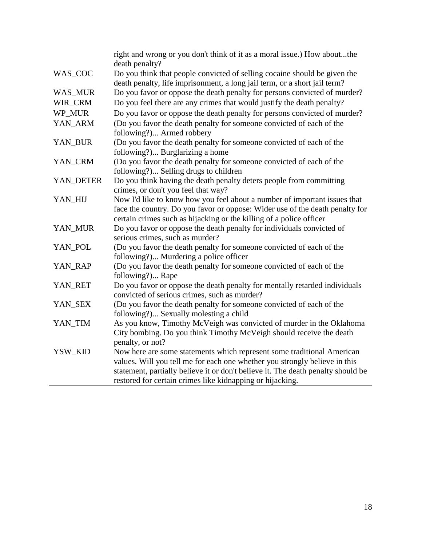|                | right and wrong or you don't think of it as a moral issue.) How aboutthe<br>death penalty?                                                   |
|----------------|----------------------------------------------------------------------------------------------------------------------------------------------|
| WAS_COC        | Do you think that people convicted of selling cocaine should be given the                                                                    |
|                | death penalty, life imprisonment, a long jail term, or a short jail term?                                                                    |
| <b>WAS_MUR</b> | Do you favor or oppose the death penalty for persons convicted of murder?                                                                    |
| WIR_CRM        | Do you feel there are any crimes that would justify the death penalty?                                                                       |
| WP_MUR         | Do you favor or oppose the death penalty for persons convicted of murder?                                                                    |
| YAN_ARM        | (Do you favor the death penalty for someone convicted of each of the                                                                         |
|                | following?) Armed robbery                                                                                                                    |
| YAN_BUR        | (Do you favor the death penalty for someone convicted of each of the                                                                         |
|                | following?) Burglarizing a home                                                                                                              |
| YAN_CRM        | (Do you favor the death penalty for someone convicted of each of the                                                                         |
|                | following?) Selling drugs to children                                                                                                        |
| YAN_DETER      | Do you think having the death penalty deters people from committing                                                                          |
|                | crimes, or don't you feel that way?                                                                                                          |
| YAN_HIJ        | Now I'd like to know how you feel about a number of important issues that                                                                    |
|                | face the country. Do you favor or oppose: Wider use of the death penalty for                                                                 |
| YAN_MUR        | certain crimes such as hijacking or the killing of a police officer<br>Do you favor or oppose the death penalty for individuals convicted of |
|                | serious crimes, such as murder?                                                                                                              |
| YAN_POL        | (Do you favor the death penalty for someone convicted of each of the                                                                         |
|                | following?) Murdering a police officer                                                                                                       |
| YAN_RAP        | (Do you favor the death penalty for someone convicted of each of the                                                                         |
|                | following?) Rape                                                                                                                             |
| YAN_RET        | Do you favor or oppose the death penalty for mentally retarded individuals                                                                   |
|                | convicted of serious crimes, such as murder?                                                                                                 |
| YAN_SEX        | (Do you favor the death penalty for someone convicted of each of the                                                                         |
|                | following?) Sexually molesting a child                                                                                                       |
| YAN_TIM        | As you know, Timothy McVeigh was convicted of murder in the Oklahoma                                                                         |
|                | City bombing. Do you think Timothy McVeigh should receive the death                                                                          |
|                | penalty, or not?                                                                                                                             |
| YSW_KID        | Now here are some statements which represent some traditional American                                                                       |
|                | values. Will you tell me for each one whether you strongly believe in this                                                                   |
|                | statement, partially believe it or don't believe it. The death penalty should be                                                             |
|                | restored for certain crimes like kidnapping or hijacking.                                                                                    |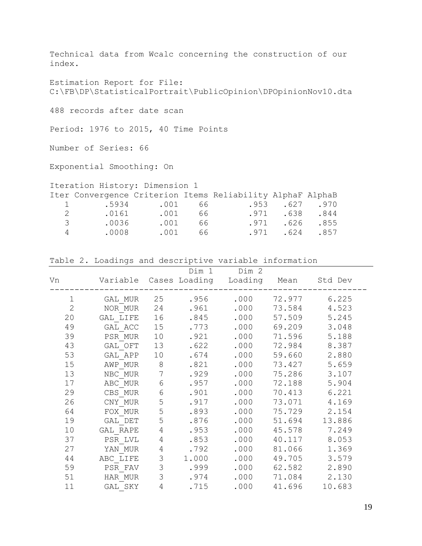Technical data from Wcalc concerning the construction of our index.

Estimation Report for File: C:\FB\DP\StatisticalPortrait\PublicOpinion\DPOpinionNov10.dta

488 records after date scan

Period: 1976 to 2015, 40 Time Points

Number of Series: 66

Exponential Smoothing: On

## Iteration History: Dimension 1

|               | Iter Convergence Criterion Items Reliability AlphaF AlphaB |       |     |              |  |
|---------------|------------------------------------------------------------|-------|-----|--------------|--|
|               | 1 .5934 .001 66                                            |       |     | .953.627.970 |  |
| $\mathcal{P}$ | .0161                                                      | .001  | 66  | .971.638.844 |  |
| 3             | .0036                                                      | . 001 | 66  | .971.626.855 |  |
| 4             | .0008                                                      | .001  | 66. | .971.624.857 |  |

Table 2. Loadings and descriptive variable information

| Vn             |          |                | Dim 1 | Dim 2<br>Variable Cases Loading Loading Mean Std Dev |        |        |
|----------------|----------|----------------|-------|------------------------------------------------------|--------|--------|
| $\mathbf 1$    | GAL MUR  | 25             | .956  | .000                                                 | 72.977 | 6.225  |
| $\overline{2}$ | NOR MUR  | 24             | .961  | .000                                                 | 73.584 | 4.523  |
| 20             | GAL LIFE | 16             | .845  | .000                                                 | 57.509 | 5.245  |
| 49             | GAL ACC  | 15             | .773  | .000                                                 | 69.209 | 3.048  |
| 39             | PSR MUR  | 10             | .921  | .000                                                 | 71.596 | 5.188  |
| 43             | GAL OFT  | 13             | .622  | .000                                                 | 72.984 | 8.387  |
| 53             | GAL APP  | 10             | .674  | .000                                                 | 59.660 | 2.880  |
| 15             | AWP MUR  | $8\,$          | .821  | .000                                                 | 73.427 | 5.659  |
| 13             | NBC MUR  | $\overline{7}$ | .929  | .000                                                 | 75.286 | 3.107  |
| 17             | ABC MUR  | $\epsilon$     | .957  | .000                                                 | 72.188 | 5.904  |
| 29             | CBS MUR  | 6              | .901  | .000                                                 | 70.413 | 6.221  |
| 26             | CNY MUR  | 5              | .917  | .000                                                 | 73.071 | 4.169  |
| 64             | FOX MUR  | 5              | .893  | .000                                                 | 75.729 | 2.154  |
| 19             | GAL DET  | 5              | .876  | .000                                                 | 51.694 | 13.886 |
| 10             | GAL RAPE | $\overline{4}$ | .953  | .000                                                 | 45.578 | 7.249  |
| 37             | PSR LVL  | $\overline{4}$ | .853  | .000                                                 | 40.117 | 8.053  |
| 27             | YAN MUR  | $\overline{4}$ | .792  | .000                                                 | 81.066 | 1.369  |
| 44             | ABC LIFE | 3              | 1.000 | .000                                                 | 49.705 | 3.579  |
| 59             | PSR FAV  | $\mathfrak{Z}$ | .999  | .000                                                 | 62.582 | 2.890  |
| 51             | HAR MUR  | 3              | .974  | .000                                                 | 71.084 | 2.130  |
| 11             | GAL SKY  | $\overline{4}$ | .715  | .000                                                 | 41.696 | 10.683 |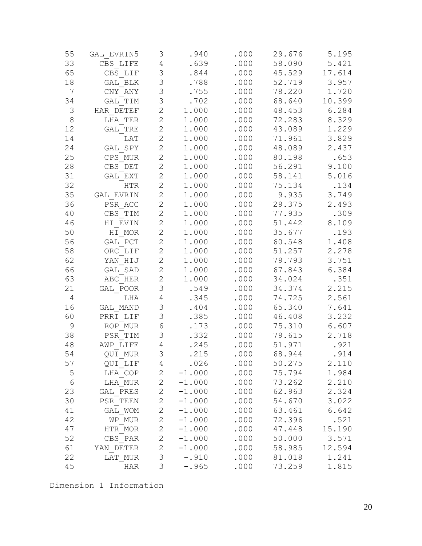| 55             | GAL EVRIN5 | 3              | .940     | .000 | 29.676 | 5.195  |
|----------------|------------|----------------|----------|------|--------|--------|
| 33             | CBS LIFE   | $\sqrt{4}$     | .639     | .000 | 58.090 | 5.421  |
| 65             | CBS LIF    | $\mathfrak{Z}$ | .844     | .000 | 45.529 | 17.614 |
| 18             | GAL BLK    | 3              | .788     | .000 | 52.719 | 3.957  |
| 7              | CNY ANY    | 3              | .755     | .000 | 78.220 | 1.720  |
| 34             | GAL TIM    | 3              | .702     | .000 | 68.640 | 10.399 |
| 3              | HAR DETEF  | $\overline{2}$ | 1.000    | .000 | 48.453 | 6.284  |
| $\,8\,$        | LHA TER    | $\overline{2}$ | 1.000    | .000 | 72.283 | 8.329  |
| 12             | GAL TRE    | $\overline{2}$ | 1.000    | .000 | 43.089 | 1.229  |
| 14             | LAT        | $\mathbf{2}$   | 1.000    | .000 | 71.961 | 3.829  |
| 24             | GAL SPY    | $\overline{2}$ | 1.000    | .000 | 48.089 | 2.437  |
| 25             | CPS MUR    | $\overline{2}$ | 1.000    | .000 | 80.198 | .653   |
| 28             | CBS DET    | $\overline{2}$ | 1.000    | .000 | 56.291 | 9.100  |
| 31             | GAL EXT    | $\mathbf{2}$   | 1.000    | .000 | 58.141 | 5.016  |
| 32             | HTR        | $\overline{2}$ | 1.000    | .000 | 75.134 | .134   |
| 35             | GAL EVRIN  | $\overline{2}$ | 1.000    | .000 | 9.935  | 3.749  |
| 36             | PSR ACC    | $\overline{2}$ | 1.000    | .000 | 29.375 | 2.493  |
| 40             | CBS TIM    | $\mathbf{2}$   | 1.000    | .000 | 77.935 | .309   |
| 46             | HI EVIN    | $\mathbf{2}$   | 1.000    | .000 | 51.442 | 8.109  |
| 50             | HI MOR     | $\mathbf{2}$   | 1.000    | .000 | 35.677 | .193   |
| 56             | GAL PCT    | $\overline{2}$ | 1.000    | .000 | 60.548 | 1.408  |
| 58             | ORC LIF    | $\overline{2}$ | 1.000    | .000 | 51.257 | 2.278  |
| 62             | YAN HIJ    | $\overline{2}$ | 1.000    | .000 | 79.793 | 3.751  |
| 66             | GAL SAD    | $\overline{2}$ | 1.000    | .000 | 67.843 | 6.384  |
| 63             | ABC HER    | $\mathbf{2}$   | 1.000    | .000 | 34.024 | .351   |
| 21             | GAL POOR   | 3              | .549     | .000 | 34.374 | 2.215  |
| $\overline{4}$ | LHA        | $\sqrt{4}$     | .345     | .000 | 74.725 | 2.561  |
| 16             | GAL MAND   | 3              | .404     | .000 | 65.340 | 7.641  |
| 60             | PRRI LIF   | 3              | .385     | .000 | 46.408 | 3.232  |
| $\mathsf 9$    | ROP MUR    | $\sqrt{6}$     | .173     | .000 | 75.310 | 6.607  |
| 38             | PSR TIM    | 3              | .332     | .000 | 79.615 | 2.718  |
| 48             | AWP LIFE   | $\overline{4}$ | .245     | .000 | 51.971 | .921   |
| 54             | QUI MUR    | 3              | .215     | .000 | 68.944 | .914   |
| 57             | QUI LIF    | 4              | .026     | .000 | 50.275 | 2.110  |
| 5              | LHA COP    | 2              | $-1.000$ | .000 | 75.794 | 1.984  |
| $\epsilon$     | LHA MUR    | 2              | $-1.000$ | .000 | 73.262 | 2.210  |
| 23             | GAL PRES   | $\mathbf{2}$   | $-1.000$ | .000 | 62.963 | 2.324  |
| 30             | PSR TEEN   | $\mathbf{2}$   | $-1.000$ | .000 | 54.670 | 3.022  |
| 41             | GAL WOM    | $\mathbf{2}$   | $-1.000$ | .000 | 63.461 | 6.642  |
| 42             | WP MUR     | $\mathbf{2}$   | $-1.000$ | .000 | 72.396 | .521   |
| 47             | HTR MOR    | $\mathbf{2}$   | $-1.000$ | .000 | 47.448 | 15.190 |
| 52             | CBS PAR    | $\mathbf{2}$   | $-1.000$ | .000 | 50.000 | 3.571  |
| 61             | YAN DETER  | 2              | $-1.000$ | .000 | 58.985 | 12.594 |
| 22             | LAT MUR    | 3              | $-.910$  | .000 | 81.018 | 1.241  |
| 45             | HAR        | 3              | $-.965$  | .000 | 73.259 | 1.815  |

Dimension 1 Information